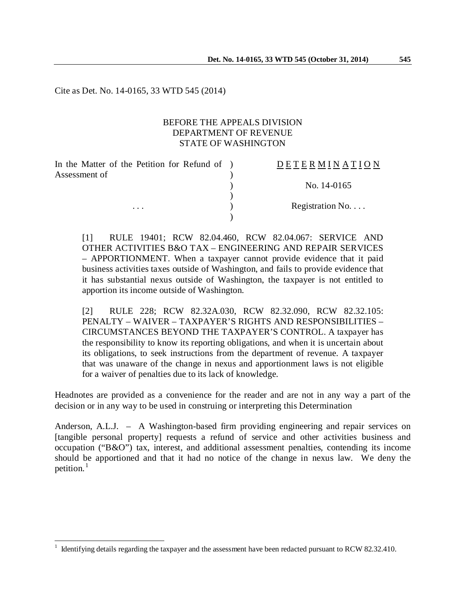Cite as Det. No. 14-0165, 33 WTD 545 (2014)

## BEFORE THE APPEALS DIVISION DEPARTMENT OF REVENUE STATE OF WASHINGTON

)

)

In the Matter of the Petition for Refund of ) Assessment of  $\mathcal{L}$ 

 $\overline{a}$ 

# D E T E R M I N A T I O N ) No. 14-0165 ... Registration No....

[1] RULE 19401; RCW 82.04.460, RCW 82.04.067: SERVICE AND OTHER ACTIVITIES B&O TAX – ENGINEERING AND REPAIR SERVICES – APPORTIONMENT. When a taxpayer cannot provide evidence that it paid business activities taxes outside of Washington, and fails to provide evidence that it has substantial nexus outside of Washington, the taxpayer is not entitled to apportion its income outside of Washington.

[2] RULE 228; RCW 82.32A.030, RCW 82.32.090, RCW 82.32.105: PENALTY – WAIVER – TAXPAYER'S RIGHTS AND RESPONSIBILITIES – CIRCUMSTANCES BEYOND THE TAXPAYER'S CONTROL. A taxpayer has the responsibility to know its reporting obligations, and when it is uncertain about its obligations, to seek instructions from the department of revenue. A taxpayer that was unaware of the change in nexus and apportionment laws is not eligible for a waiver of penalties due to its lack of knowledge.

Headnotes are provided as a convenience for the reader and are not in any way a part of the decision or in any way to be used in construing or interpreting this Determination

Anderson, A.L.J. – A Washington-based firm providing engineering and repair services on [tangible personal property] requests a refund of service and other activities business and occupation ("B&O") tax, interest, and additional assessment penalties, contending its income should be apportioned and that it had no notice of the change in nexus law. We deny the petition. $<sup>1</sup>$  $<sup>1</sup>$  $<sup>1</sup>$ </sup>

<span id="page-0-0"></span><sup>1</sup> Identifying details regarding the taxpayer and the assessment have been redacted pursuant to RCW 82.32.410.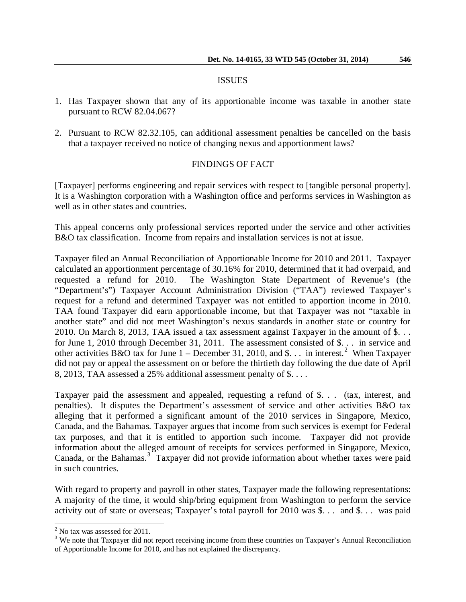#### ISSUES

- 1. Has Taxpayer shown that any of its apportionable income was taxable in another state pursuant to RCW 82.04.067?
- 2. Pursuant to RCW 82.32.105, can additional assessment penalties be cancelled on the basis that a taxpayer received no notice of changing nexus and apportionment laws?

### FINDINGS OF FACT

[Taxpayer] performs engineering and repair services with respect to [tangible personal property]. It is a Washington corporation with a Washington office and performs services in Washington as well as in other states and countries.

This appeal concerns only professional services reported under the service and other activities B&O tax classification. Income from repairs and installation services is not at issue.

Taxpayer filed an Annual Reconciliation of Apportionable Income for 2010 and 2011. Taxpayer calculated an apportionment percentage of 30.16% for 2010, determined that it had overpaid, and requested a refund for 2010. The Washington State Department of Revenue's (the "Department's") Taxpayer Account Administration Division ("TAA") reviewed Taxpayer's request for a refund and determined Taxpayer was not entitled to apportion income in 2010. TAA found Taxpayer did earn apportionable income, but that Taxpayer was not "taxable in another state" and did not meet Washington's nexus standards in another state or country for 2010. On March 8, 2013, TAA issued a tax assessment against Taxpayer in the amount of \$. . . for June 1, 2010 through December 31, 2011. The assessment consisted of \$. . . in service and other activities B&O tax for June 1 – December 31, [2](#page-1-0)010, and \$... in interest.<sup>2</sup> When Taxpayer did not pay or appeal the assessment on or before the thirtieth day following the due date of April 8, 2013, TAA assessed a 25% additional assessment penalty of \$. . . .

Taxpayer paid the assessment and appealed, requesting a refund of \$. . . (tax, interest, and penalties). It disputes the Department's assessment of service and other activities B&O tax alleging that it performed a significant amount of the 2010 services in Singapore, Mexico, Canada, and the Bahamas. Taxpayer argues that income from such services is exempt for Federal tax purposes, and that it is entitled to apportion such income. Taxpayer did not provide information about the alleged amount of receipts for services performed in Singapore, Mexico, Canada, or the Bahamas.<sup>[3](#page-1-1)</sup> Taxpayer did not provide information about whether taxes were paid in such countries.

With regard to property and payroll in other states, Taxpayer made the following representations: A majority of the time, it would ship/bring equipment from Washington to perform the service activity out of state or overseas; Taxpayer's total payroll for 2010 was \$. . . and \$. . . was paid

 $\overline{\phantom{a}}$ 

<span id="page-1-0"></span> $2$  No tax was assessed for 2011.

<span id="page-1-1"></span><sup>&</sup>lt;sup>3</sup> We note that Taxpayer did not report receiving income from these countries on Taxpayer's Annual Reconciliation of Apportionable Income for 2010, and has not explained the discrepancy.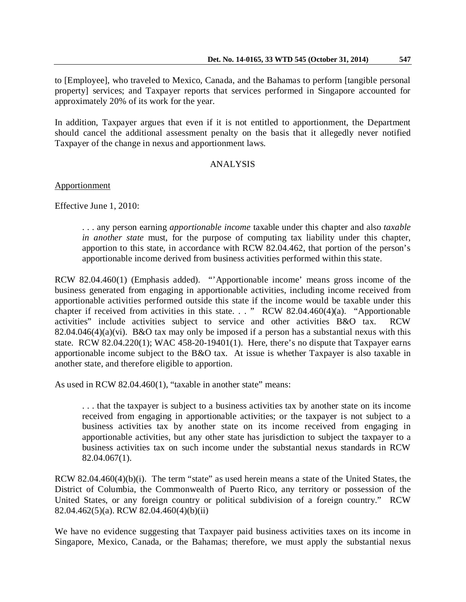to [Employee], who traveled to Mexico, Canada, and the Bahamas to perform [tangible personal property] services; and Taxpayer reports that services performed in Singapore accounted for approximately 20% of its work for the year.

In addition, Taxpayer argues that even if it is not entitled to apportionment, the Department should cancel the additional assessment penalty on the basis that it allegedly never notified Taxpayer of the change in nexus and apportionment laws.

## ANALYSIS

Apportionment

Effective June 1, 2010:

. . . any person earning *apportionable income* taxable under this chapter and also *taxable in another state* must, for the purpose of computing tax liability under this chapter, apportion to this state, in accordance with RCW 82.04.462, that portion of the person's apportionable income derived from business activities performed within this state.

RCW 82.04.460(1) (Emphasis added). "'Apportionable income' means gross income of the business generated from engaging in apportionable activities, including income received from apportionable activities performed outside this state if the income would be taxable under this chapter if received from activities in this state. . . " RCW 82.04.460(4)(a). "Apportionable activities" include activities subject to service and other activities B&O tax. RCW 82.04.046(4)(a)(vi). B&O tax may only be imposed if a person has a substantial nexus with this state. RCW 82.04.220(1); WAC 458-20-19401(1). Here, there's no dispute that Taxpayer earns apportionable income subject to the B&O tax. At issue is whether Taxpayer is also taxable in another state, and therefore eligible to apportion.

As used in RCW 82.04.460(1), "taxable in another state" means:

. . . that the taxpayer is subject to a business activities tax by another state on its income received from engaging in apportionable activities; or the taxpayer is not subject to a business activities tax by another state on its income received from engaging in apportionable activities, but any other state has jurisdiction to subject the taxpayer to a business activities tax on such income under the substantial nexus standards in RCW 82.04.067(1).

RCW 82.04.460(4)(b)(i). The term "state" as used herein means a state of the United States, the District of Columbia, the Commonwealth of Puerto Rico, any territory or possession of the United States, or any foreign country or political subdivision of a foreign country." RCW 82.04.462(5)(a). RCW 82.04.460(4)(b)(ii)

We have no evidence suggesting that Taxpayer paid business activities taxes on its income in Singapore, Mexico, Canada, or the Bahamas; therefore, we must apply the substantial nexus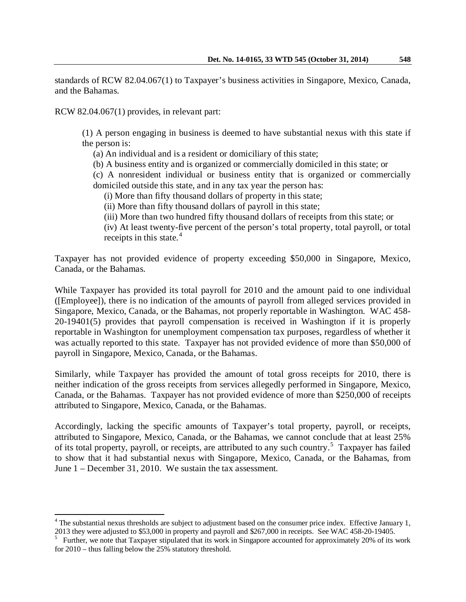standards of RCW 82.04.067(1) to Taxpayer's business activities in Singapore, Mexico, Canada, and the Bahamas.

RCW 82.04.067(1) provides, in relevant part:

 $\overline{a}$ 

(1) A person engaging in business is deemed to have substantial nexus with this state if the person is:

(a) An individual and is a resident or domiciliary of this state;

(b) A business entity and is organized or commercially domiciled in this state; or

(c) A nonresident individual or business entity that is organized or commercially domiciled outside this state, and in any tax year the person has:

(i) More than fifty thousand dollars of property in this state;

(ii) More than fifty thousand dollars of payroll in this state;

(iii) More than two hundred fifty thousand dollars of receipts from this state; or

(iv) At least twenty-five percent of the person's total property, total payroll, or total receipts in this state. $4$ 

Taxpayer has not provided evidence of property exceeding \$50,000 in Singapore, Mexico, Canada, or the Bahamas.

While Taxpayer has provided its total payroll for 2010 and the amount paid to one individual ([Employee]), there is no indication of the amounts of payroll from alleged services provided in Singapore, Mexico, Canada, or the Bahamas, not properly reportable in Washington. WAC 458- 20-19401(5) provides that payroll compensation is received in Washington if it is properly reportable in Washington for unemployment compensation tax purposes, regardless of whether it was actually reported to this state. Taxpayer has not provided evidence of more than \$50,000 of payroll in Singapore, Mexico, Canada, or the Bahamas.

Similarly, while Taxpayer has provided the amount of total gross receipts for 2010, there is neither indication of the gross receipts from services allegedly performed in Singapore, Mexico, Canada, or the Bahamas. Taxpayer has not provided evidence of more than \$250,000 of receipts attributed to Singapore, Mexico, Canada, or the Bahamas.

Accordingly, lacking the specific amounts of Taxpayer's total property, payroll, or receipts, attributed to Singapore, Mexico, Canada, or the Bahamas, we cannot conclude that at least 25% of its total property, payroll, or receipts, are attributed to any such country.<sup>[5](#page-3-1)</sup> Taxpayer has failed to show that it had substantial nexus with Singapore, Mexico, Canada, or the Bahamas, from June 1 – December 31, 2010. We sustain the tax assessment.

<span id="page-3-0"></span> $4$  The substantial nexus thresholds are subject to adjustment based on the consumer price index. Effective January 1, 2013 they were adjusted to \$53,000 in property and payroll and \$267,000 in receipts. See WAC 458-20-19405. <sup>5</sup>

<span id="page-3-1"></span><sup>&</sup>lt;sup>5</sup> Further, we note that Taxpayer stipulated that its work in Singapore accounted for approximately 20% of its work for 2010 – thus falling below the 25% statutory threshold.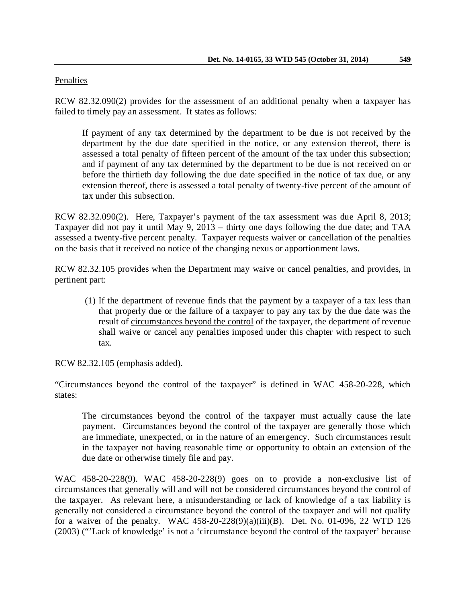## Penalties

RCW 82.32.090(2) provides for the assessment of an additional penalty when a taxpayer has failed to timely pay an assessment. It states as follows:

If payment of any tax determined by the department to be due is not received by the department by the due date specified in the notice, or any extension thereof, there is assessed a total penalty of fifteen percent of the amount of the tax under this subsection; and if payment of any tax determined by the department to be due is not received on or before the thirtieth day following the due date specified in the notice of tax due, or any extension thereof, there is assessed a total penalty of twenty-five percent of the amount of tax under this subsection.

RCW 82.32.090(2). Here, Taxpayer's payment of the tax assessment was due April 8, 2013; Taxpayer did not pay it until May 9, 2013 – thirty one days following the due date; and TAA assessed a twenty-five percent penalty. Taxpayer requests waiver or cancellation of the penalties on the basis that it received no notice of the changing nexus or apportionment laws.

RCW 82.32.105 provides when the Department may waive or cancel penalties, and provides, in pertinent part:

(1) If the department of revenue finds that the payment by a taxpayer of a tax less than that properly due or the failure of a taxpayer to pay any tax by the due date was the result of circumstances beyond the control of the taxpayer, the department of revenue shall waive or cancel any penalties imposed under this chapter with respect to such tax.

RCW 82.32.105 (emphasis added).

"Circumstances beyond the control of the taxpayer" is defined in WAC 458-20-228, which states:

The circumstances beyond the control of the taxpayer must actually cause the late payment. Circumstances beyond the control of the taxpayer are generally those which are immediate, unexpected, or in the nature of an emergency. Such circumstances result in the taxpayer not having reasonable time or opportunity to obtain an extension of the due date or otherwise timely file and pay.

WAC 458-20-228(9). WAC 458-20-228(9) goes on to provide a non-exclusive list of circumstances that generally will and will not be considered circumstances beyond the control of the taxpayer. As relevant here, a misunderstanding or lack of knowledge of a tax liability is generally not considered a circumstance beyond the control of the taxpayer and will not qualify for a waiver of the penalty. WAC 458-20-228(9)(a)(iii)(B). Det. No. 01-096, 22 WTD 126 (2003) ("'Lack of knowledge' is not a 'circumstance beyond the control of the taxpayer' because